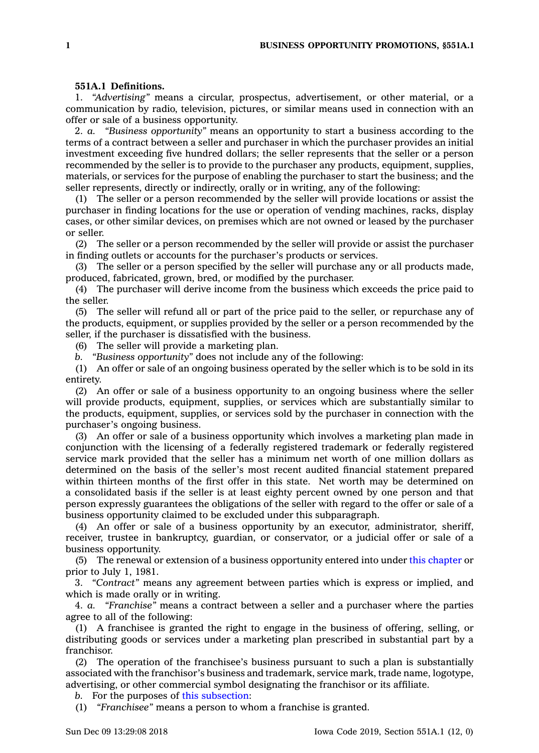## **551A.1 Definitions.**

1. *"Advertising"* means <sup>a</sup> circular, prospectus, advertisement, or other material, or <sup>a</sup> communication by radio, television, pictures, or similar means used in connection with an offer or sale of <sup>a</sup> business opportunity.

2. *a. "Business opportunity"* means an opportunity to start <sup>a</sup> business according to the terms of <sup>a</sup> contract between <sup>a</sup> seller and purchaser in which the purchaser provides an initial investment exceeding five hundred dollars; the seller represents that the seller or <sup>a</sup> person recommended by the seller is to provide to the purchaser any products, equipment, supplies, materials, or services for the purpose of enabling the purchaser to start the business; and the seller represents, directly or indirectly, orally or in writing, any of the following:

(1) The seller or <sup>a</sup> person recommended by the seller will provide locations or assist the purchaser in finding locations for the use or operation of vending machines, racks, display cases, or other similar devices, on premises which are not owned or leased by the purchaser or seller.

(2) The seller or <sup>a</sup> person recommended by the seller will provide or assist the purchaser in finding outlets or accounts for the purchaser's products or services.

(3) The seller or <sup>a</sup> person specified by the seller will purchase any or all products made, produced, fabricated, grown, bred, or modified by the purchaser.

(4) The purchaser will derive income from the business which exceeds the price paid to the seller.

(5) The seller will refund all or part of the price paid to the seller, or repurchase any of the products, equipment, or supplies provided by the seller or <sup>a</sup> person recommended by the seller, if the purchaser is dissatisfied with the business.

(6) The seller will provide <sup>a</sup> marketing plan.

*b. "Business opportunity"* does not include any of the following:

(1) An offer or sale of an ongoing business operated by the seller which is to be sold in its entirety.

(2) An offer or sale of <sup>a</sup> business opportunity to an ongoing business where the seller will provide products, equipment, supplies, or services which are substantially similar to the products, equipment, supplies, or services sold by the purchaser in connection with the purchaser's ongoing business.

(3) An offer or sale of <sup>a</sup> business opportunity which involves <sup>a</sup> marketing plan made in conjunction with the licensing of <sup>a</sup> federally registered trademark or federally registered service mark provided that the seller has <sup>a</sup> minimum net worth of one million dollars as determined on the basis of the seller's most recent audited financial statement prepared within thirteen months of the first offer in this state. Net worth may be determined on <sup>a</sup> consolidated basis if the seller is at least eighty percent owned by one person and that person expressly guarantees the obligations of the seller with regard to the offer or sale of <sup>a</sup> business opportunity claimed to be excluded under this subparagraph.

(4) An offer or sale of <sup>a</sup> business opportunity by an executor, administrator, sheriff, receiver, trustee in bankruptcy, guardian, or conservator, or <sup>a</sup> judicial offer or sale of <sup>a</sup> business opportunity.

(5) The renewal or extension of <sup>a</sup> business opportunity entered into under this [chapter](https://www.legis.iowa.gov/docs/code//551A.pdf) or prior to July 1, 1981.

3. *"Contract"* means any agreement between parties which is express or implied, and which is made orally or in writing.

4. *a. "Franchise"* means <sup>a</sup> contract between <sup>a</sup> seller and <sup>a</sup> purchaser where the parties agree to all of the following:

(1) A franchisee is granted the right to engage in the business of offering, selling, or distributing goods or services under <sup>a</sup> marketing plan prescribed in substantial part by <sup>a</sup> franchisor.

(2) The operation of the franchisee's business pursuant to such <sup>a</sup> plan is substantially associated with the franchisor's business and trademark, service mark, trade name, logotype, advertising, or other commercial symbol designating the franchisor or its affiliate.

*b.* For the purposes of this [subsection](https://www.legis.iowa.gov/docs/code/551A.1.pdf):

(1) *"Franchisee"* means <sup>a</sup> person to whom <sup>a</sup> franchise is granted.